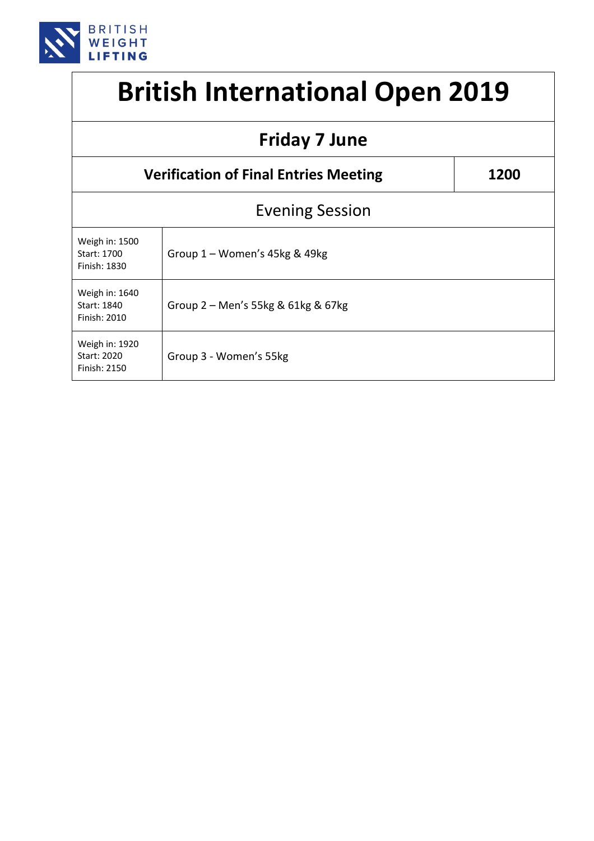

## **British International Open 2019**

| <b>Friday 7 June</b>                          |                                    |  |  |  |
|-----------------------------------------------|------------------------------------|--|--|--|
| <b>Verification of Final Entries Meeting</b>  | 1200                               |  |  |  |
| <b>Evening Session</b>                        |                                    |  |  |  |
| Weigh in: 1500<br>Start: 1700<br>Finish: 1830 | Group $1 -$ Women's 45kg & 49kg    |  |  |  |
| Weigh in: 1640<br>Start: 1840<br>Finish: 2010 | Group 2 – Men's 55kg & 61kg & 67kg |  |  |  |
| Weigh in: 1920<br>Start: 2020<br>Finish: 2150 | Group 3 - Women's 55kg             |  |  |  |